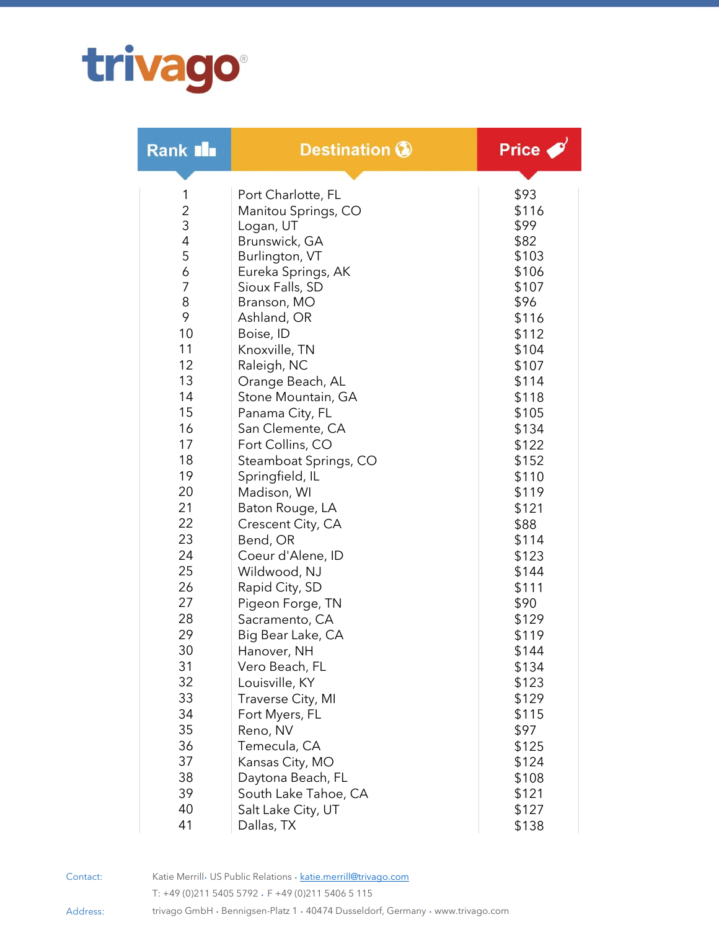## trivago

| Rank III            | <b>Destination ®</b>       | Price         |
|---------------------|----------------------------|---------------|
|                     |                            |               |
| 1                   | Port Charlotte, FL         | \$93          |
| $\overline{c}$<br>3 | Manitou Springs, CO        | \$116<br>\$99 |
| $\overline{4}$      | Logan, UT<br>Brunswick, GA | \$82          |
| 5                   | Burlington, VT             | \$103         |
| 6                   | Eureka Springs, AK         | \$106         |
| 7                   | Sioux Falls, SD            | \$107         |
| 8                   | Branson, MO                | \$96          |
| 9                   | Ashland, OR                | \$116         |
| 10                  | Boise, ID                  | \$112         |
| 11                  | Knoxville, TN              | \$104         |
| 12                  | Raleigh, NC                | \$107         |
| 13                  | Orange Beach, AL           | \$114         |
| 14                  | Stone Mountain, GA         | \$118         |
| 15                  | Panama City, FL            | \$105         |
| 16                  | San Clemente, CA           | \$134         |
| 17                  | Fort Collins, CO           | \$122         |
| 18                  | Steamboat Springs, CO      | \$152         |
| 19                  | Springfield, IL            | \$110         |
| 20                  | Madison, WI                | \$119         |
| 21                  | Baton Rouge, LA            | \$121         |
| 22                  | Crescent City, CA          | \$88          |
| 23                  | Bend, OR                   | \$114         |
| 24                  | Coeur d'Alene, ID          | \$123         |
| 25                  | Wildwood, NJ               | \$144         |
| 26                  | Rapid City, SD             | \$111         |
| 27                  | Pigeon Forge, TN           | \$90          |
| 28                  | Sacramento, CA             | \$129         |
| 29                  | Big Bear Lake, CA          | \$119         |
| 30                  | Hanover, NH                | \$144         |
| 31                  | Vero Beach, FL             | \$134         |
| 32                  | Louisville, KY             | \$123         |
| 33                  | Traverse City, MI          | \$129         |
| 34                  | Fort Myers, FL             | \$115         |
| 35                  | Reno, NV                   | \$97          |
| 36                  | Temecula, CA               | \$125         |
| 37                  | Kansas City, MO            | \$124         |
| 38                  | Daytona Beach, FL          | \$108         |
| 39                  | South Lake Tahoe, CA       | \$121         |
| 40                  | Salt Lake City, UT         | \$127         |
| 41                  | Dallas, TX                 | \$138         |

Contact: